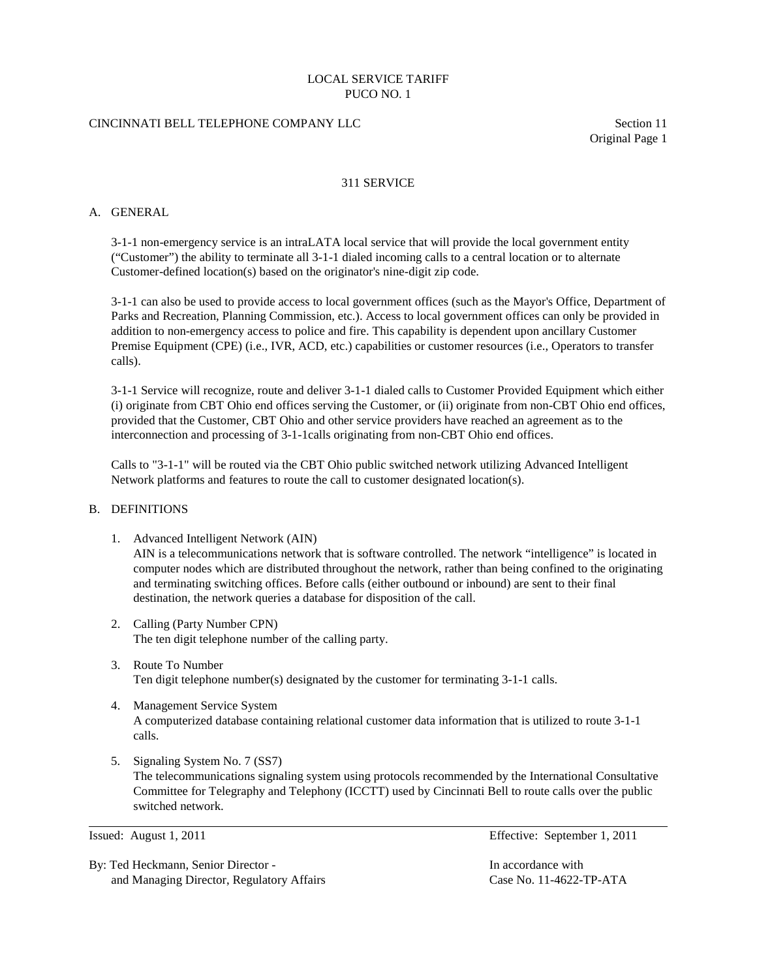### CINCINNATI BELL TELEPHONE COMPANY LLC Section 11

Original Page 1

#### 311 SERVICE

#### A. GENERAL

3-1-1 non-emergency service is an intraLATA local service that will provide the local government entity ("Customer") the ability to terminate all 3-1-1 dialed incoming calls to a central location or to alternate Customer-defined location(s) based on the originator's nine-digit zip code.

3-1-1 can also be used to provide access to local government offices (such as the Mayor's Office, Department of Parks and Recreation, Planning Commission, etc.). Access to local government offices can only be provided in addition to non-emergency access to police and fire. This capability is dependent upon ancillary Customer Premise Equipment (CPE) (i.e., IVR, ACD, etc.) capabilities or customer resources (i.e., Operators to transfer calls).

3-1-1 Service will recognize, route and deliver 3-1-1 dialed calls to Customer Provided Equipment which either (i) originate from CBT Ohio end offices serving the Customer, or (ii) originate from non-CBT Ohio end offices, provided that the Customer, CBT Ohio and other service providers have reached an agreement as to the interconnection and processing of 3-1-1calls originating from non-CBT Ohio end offices.

Calls to "3-1-1" will be routed via the CBT Ohio public switched network utilizing Advanced Intelligent Network platforms and features to route the call to customer designated location(s).

#### B. DEFINITIONS

- 1. Advanced Intelligent Network (AIN) AIN is a telecommunications network that is software controlled. The network "intelligence" is located in computer nodes which are distributed throughout the network, rather than being confined to the originating and terminating switching offices. Before calls (either outbound or inbound) are sent to their final destination, the network queries a database for disposition of the call.
- 2. Calling (Party Number CPN) The ten digit telephone number of the calling party.
- 3. Route To Number Ten digit telephone number(s) designated by the customer for terminating 3-1-1 calls.
- 4. Management Service System A computerized database containing relational customer data information that is utilized to route 3-1-1 calls.
- 5. Signaling System No. 7 (SS7) The telecommunications signaling system using protocols recommended by the International Consultative Committee for Telegraphy and Telephony (ICCTT) used by Cincinnati Bell to route calls over the public switched network.

By: Ted Heckmann, Senior Director - In accordance with and Managing Director, Regulatory Affairs Case No. 11-4622-TP-ATA

Issued: August 1, 2011 Effective: September 1, 2011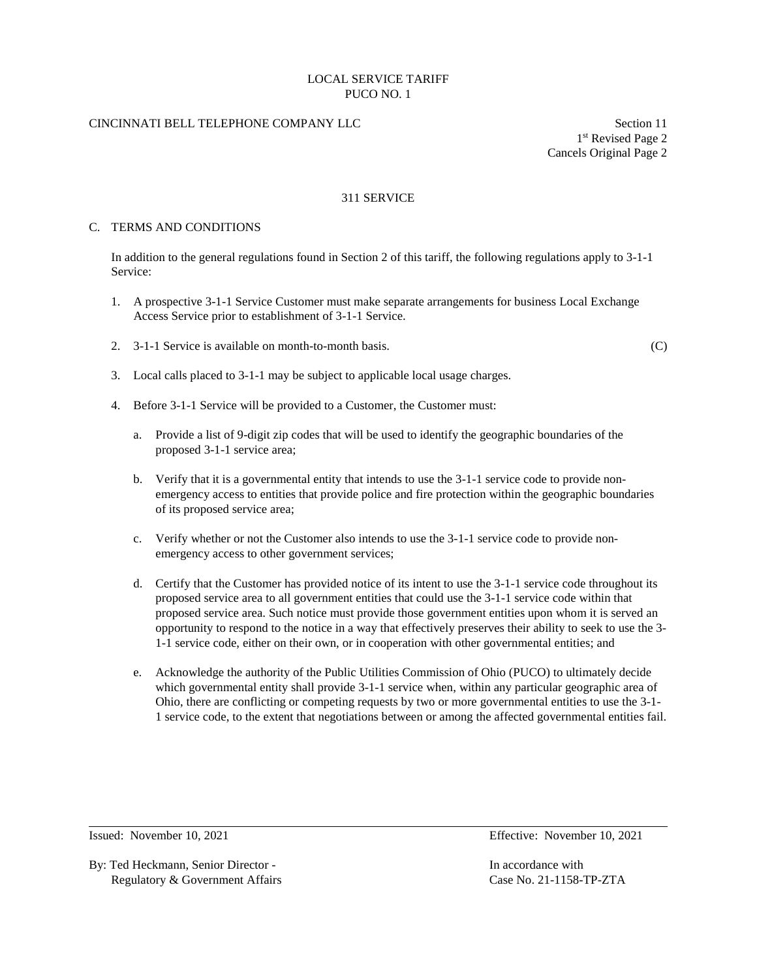## CINCINNATI BELL TELEPHONE COMPANY LLC Section 11

1st Revised Page 2 Cancels Original Page 2

### 311 SERVICE

#### C. TERMS AND CONDITIONS

In addition to the general regulations found in Section 2 of this tariff, the following regulations apply to 3-1-1 Service:

- 1. A prospective 3-1-1 Service Customer must make separate arrangements for business Local Exchange Access Service prior to establishment of 3-1-1 Service.
- 2. 3-1-1 Service is available on month-to-month basis. (C)

- 3. Local calls placed to 3-1-1 may be subject to applicable local usage charges.
- 4. Before 3-1-1 Service will be provided to a Customer, the Customer must:
	- a. Provide a list of 9-digit zip codes that will be used to identify the geographic boundaries of the proposed 3-1-1 service area;
	- b. Verify that it is a governmental entity that intends to use the 3-1-1 service code to provide nonemergency access to entities that provide police and fire protection within the geographic boundaries of its proposed service area;
	- c. Verify whether or not the Customer also intends to use the 3-1-1 service code to provide nonemergency access to other government services;
	- d. Certify that the Customer has provided notice of its intent to use the 3-1-1 service code throughout its proposed service area to all government entities that could use the 3-1-1 service code within that proposed service area. Such notice must provide those government entities upon whom it is served an opportunity to respond to the notice in a way that effectively preserves their ability to seek to use the 3- 1-1 service code, either on their own, or in cooperation with other governmental entities; and
	- e. Acknowledge the authority of the Public Utilities Commission of Ohio (PUCO) to ultimately decide which governmental entity shall provide 3-1-1 service when, within any particular geographic area of Ohio, there are conflicting or competing requests by two or more governmental entities to use the 3-1- 1 service code, to the extent that negotiations between or among the affected governmental entities fail.

By: Ted Heckmann, Senior Director - In accordance with Regulatory & Government Affairs Case No. 21-1158-TP-ZTA

Issued: November 10, 2021 Effective: November 10, 2021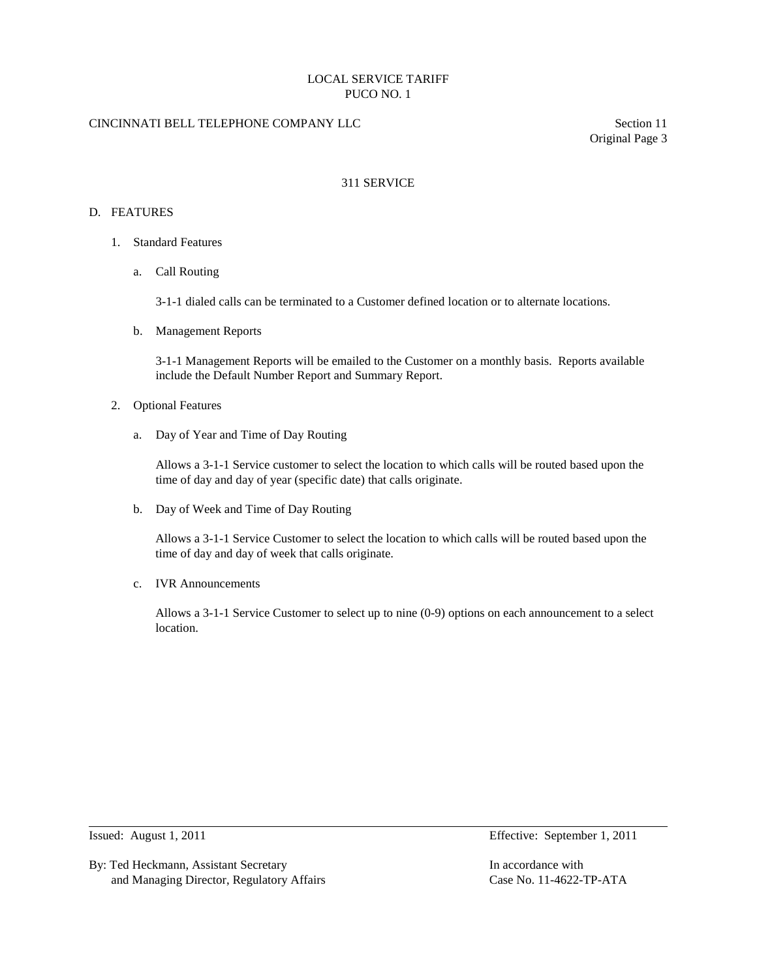## CINCINNATI BELL TELEPHONE COMPANY LLC Section 11

Original Page 3

#### 311 SERVICE

#### D. FEATURES

- 1. Standard Features
	- a. Call Routing

3-1-1 dialed calls can be terminated to a Customer defined location or to alternate locations.

b. Management Reports

3-1-1 Management Reports will be emailed to the Customer on a monthly basis. Reports available include the Default Number Report and Summary Report.

- 2. Optional Features
	- a. Day of Year and Time of Day Routing

 Allows a 3-1-1 Service customer to select the location to which calls will be routed based upon the time of day and day of year (specific date) that calls originate.

b. Day of Week and Time of Day Routing

Allows a 3-1-1 Service Customer to select the location to which calls will be routed based upon the time of day and day of week that calls originate.

c. IVR Announcements

Allows a 3-1-1 Service Customer to select up to nine (0-9) options on each announcement to a select location.

By: Ted Heckmann, Assistant Secretary **In accordance with** In accordance with and Managing Director, Regulatory Affairs Case No. 11-4622-TP-ATA

Issued: August 1, 2011 Effective: September 1, 2011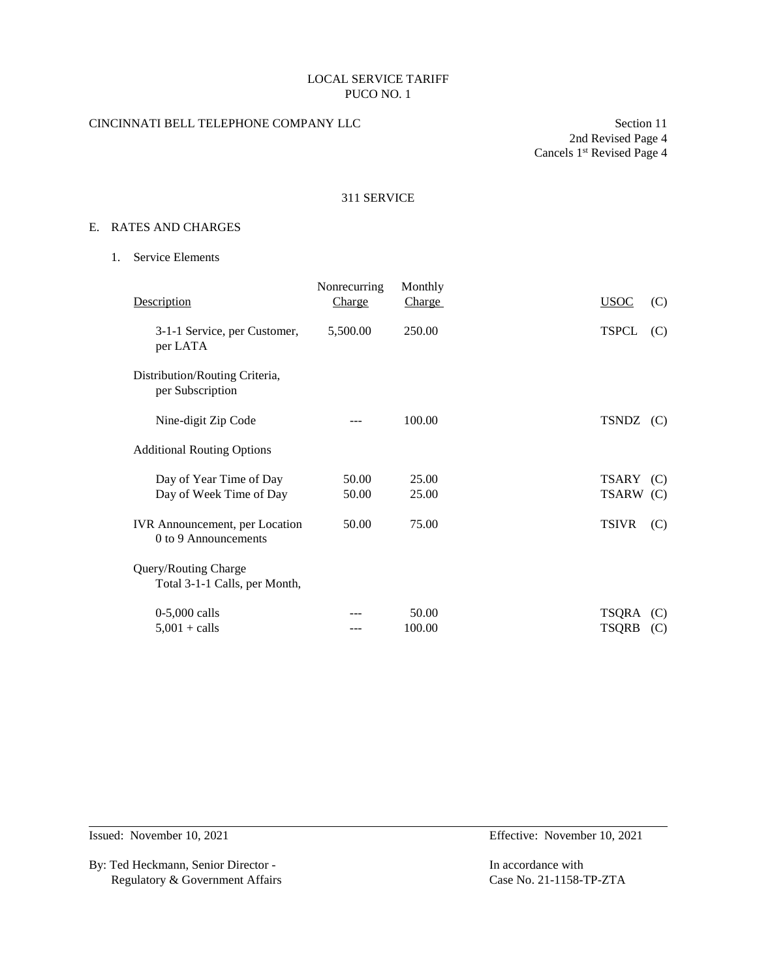# CINCINNATI BELL TELEPHONE COMPANY LLC Section 11

2nd Revised Page 4 Cancels 1<sup>st</sup> Revised Page 4

# 311 SERVICE

## E. RATES AND CHARGES

1. Service Elements

| <b>Description</b>                                            | Nonrecurring<br>Charge | Monthly<br>Charge | <b>USOC</b>  | (C) |
|---------------------------------------------------------------|------------------------|-------------------|--------------|-----|
| 3-1-1 Service, per Customer,<br>per LATA                      | 5,500.00               | 250.00            | <b>TSPCL</b> | (C) |
| Distribution/Routing Criteria,<br>per Subscription            |                        |                   |              |     |
| Nine-digit Zip Code                                           |                        | 100.00            | TSNDZ (C)    |     |
| <b>Additional Routing Options</b>                             |                        |                   |              |     |
| Day of Year Time of Day                                       | 50.00                  | 25.00             | TSARY (C)    |     |
| Day of Week Time of Day                                       | 50.00                  | 25.00             | TSARW (C)    |     |
| <b>IVR</b> Announcement, per Location<br>0 to 9 Announcements | 50.00                  | 75.00             | <b>TSIVR</b> | (C) |
| Query/Routing Charge<br>Total 3-1-1 Calls, per Month,         |                        |                   |              |     |
| $0-5,000$ calls                                               |                        | 50.00             | TSQRA        | (C) |
| $5,001 +$ calls                                               |                        | 100.00            | <b>TSQRB</b> | (C) |

By: Ted Heckmann, Senior Director - In accordance with Regulatory & Government Affairs Case No. 21-1158-TP-ZTA

Issued: November 10, 2021 Effective: November 10, 2021